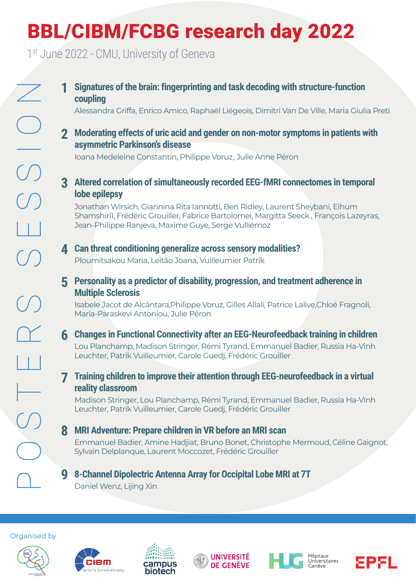## BBL/CIBM/FCBG research day 2022

1st June 2022 - CMU, University of Geneva

**Examples the brain: fingerprinting and task decoding with structure-function<br>
2 Moderating effects of urie acid and gender on non-motor symptoms in patients w<br>
alessandro Criffs, Enrico Amico Rophael Liégeois, Dimitri Van coupling** Alessandra Griffa, Enrico Amico, Raphaël Liégeois, Dimitri Van De Ville, Maria Giulia Preti **1 2 Moderating effects of uric acid and gender on non-motor symptoms in patients with 3 Altered correlation of simultaneously recorded EEG-fMRI connectomes in temporal 4 Can threat conditioning generalize across sensory modalities? 5 Personality as a predictor of disability, progression, and treatment adherence in 6 Changes in Functional Connectivity after an EEG-Neurofeedback training in children 7 Training children to improve their attention through EEG-neurofeedback in a virtual 8 MRI Adventure: Prepare children in VR before an MRI scan 9 8-Channel Dipolectric Antenna Array for Occipital Lobe MRI at 7T lobe epilepsy**  Jonathan Wirsich, Giannina Rita Iannotti, Ben Ridley, Laurent Sheybani, Elhum Shamshiri1, Frédéric Grouiller, Fabrice Bartolomei, Margitta Seeck , François Lazeyras, Jean-Philippe Ranjeva, Maxime Guye, Serge Vulliémoz **Multiple Sclerosis** Isabele Jacot de Alcântara,Philippe Voruz, Gilles Allali, Patrice Lalive,Chloé Fragnoli, Maria-Paraskevi Antoniou, Julie Péron Lou Planchamp, Madison Stringer, Rémi Tyrand, Emmanuel Badier, Russia Ha-Vinh Leuchter, Patrik Vuilleumier, Carole Guedj, Frédéric Grouiller **reality classroom** Madison Stringer, Lou Planchamp, Rémi Tyrand, Emmanuel Badier, Russia Ha-Vinh Leuchter, Patrik Vuilleumier, Carole Guedj, Frédéric Grouiller Emmanuel Badier, Amine Hadjiat, Bruno Bonet, Christophe Mermoud, Céline Gaignot, Sylvain Delplanque, Laurent Moccozet, Frédéric Grouiller Daniel Wenz, Lijing Xin Ploumitsakou Maria, Leitão Joana, Vuilleumier Patrik **asymmetric Parkinson's disease** Ioana Medeleine Constantin, Philippe Voruz, Julie Anne Péron